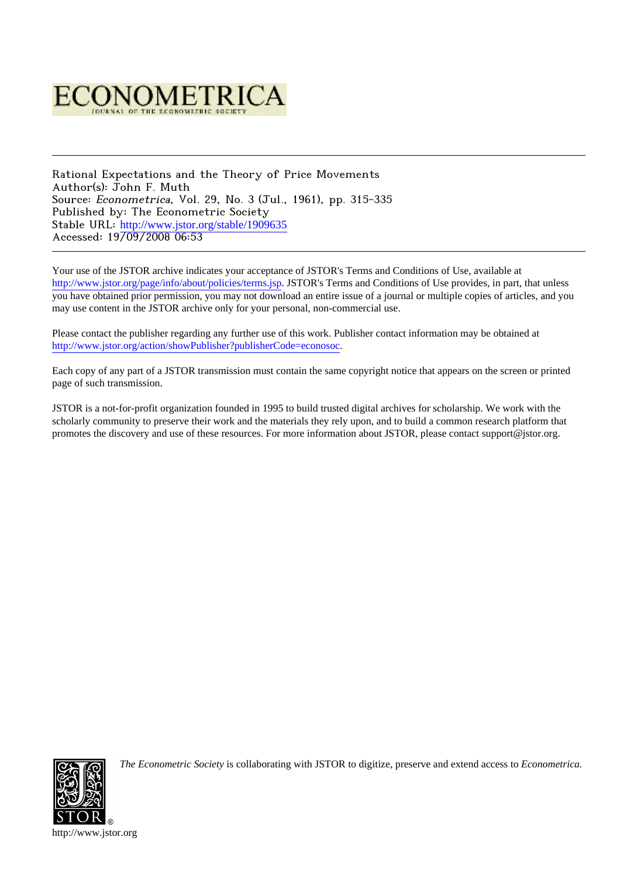

Rational Expectations and the Theory of Price Movements Author(s): John F. Muth Source: Econometrica, Vol. 29, No. 3 (Jul., 1961), pp. 315-335 Published by: The Econometric Society Stable URL: [http://www.jstor.org/stable/1909635](http://www.jstor.org/stable/1909635?origin=JSTOR-pdf) Accessed: 19/09/2008 06:53

Your use of the JSTOR archive indicates your acceptance of JSTOR's Terms and Conditions of Use, available at <http://www.jstor.org/page/info/about/policies/terms.jsp>. JSTOR's Terms and Conditions of Use provides, in part, that unless you have obtained prior permission, you may not download an entire issue of a journal or multiple copies of articles, and you may use content in the JSTOR archive only for your personal, non-commercial use.

Please contact the publisher regarding any further use of this work. Publisher contact information may be obtained at <http://www.jstor.org/action/showPublisher?publisherCode=econosoc>.

Each copy of any part of a JSTOR transmission must contain the same copyright notice that appears on the screen or printed page of such transmission.

JSTOR is a not-for-profit organization founded in 1995 to build trusted digital archives for scholarship. We work with the scholarly community to preserve their work and the materials they rely upon, and to build a common research platform that promotes the discovery and use of these resources. For more information about JSTOR, please contact support@jstor.org.



*The Econometric Society* is collaborating with JSTOR to digitize, preserve and extend access to *Econometrica.*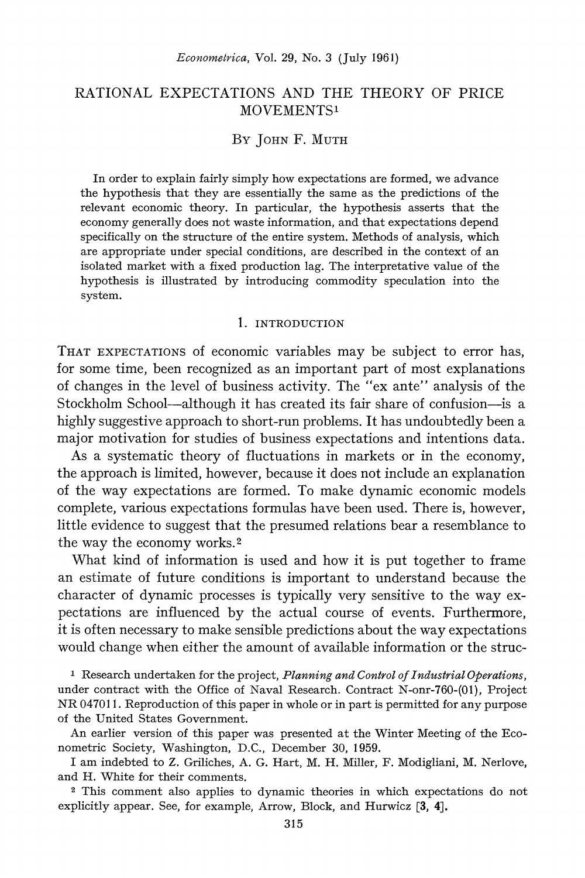## **RATIONAL EXPECTATIONS AND THE THEORY OF PRICE MOVEMENTS1**

### **BY JOHN F. MUTH**

**In order to explain fairly simply how expectations are formed, we advance the hypothesis that they are essentially the same as the predictions of the relevant economic theory. In particular, the hypothesis asserts that the economy generally does not waste information, and that expectations depend specifically on the structure of the entire system. Methods of analysis, which are appropriate under special conditions, are described in the context of an isolated market with a fixed production lag. The interpretative value of the hypothesis is illustrated by introducing commodity speculation into the system.** 

#### **1. INTRODUCTION**

THAT EXPECTATIONS of economic variables may be subject to error has, **for some time, been recognized as an important part of most explanations of changes in the level of business activity. The "ex ante" analysis of the Stockholm School-although it has created its fair share of confusion-is a highly suggestive approach to short-run problems. It has undoubtedly been a major motivation for studies of business expectations and intentions data.** 

**As a systematic theory of fluctuations in markets or in the economy, the approach is limited, however, because it does not include an explanation of the way expectations are formed. To make dynamic economic models complete, various expectations formulas have been used. There is, however, little evidence to suggest that the presumed relations bear a resemblance to the way the economy works.2** 

**What kind of information is used and how it is put together to frame an estimate of future conditions is important to understand because the character of dynamic processes is typically very sensitive to the way expectations are influenced by the actual course of events. Furthermore, it is often necessary to make sensible predictions about the way expectations would change when either the amount of available information or the struc-**

**1 Research undertaken for the project, Planning and Control of Industrial Operations, under contract with the Office of Naval Research. Contract N-onr-760-(01), Project NR 04701 1. Reproduction of this paper in whole or in part is permitted for any purpose of the United States Government.** 

**An earlier version of this paper was presented at the Winter Meeting of the Econometric Society, Washington, D.C., December 30, 1959.** 

**I am indebted to Z. Griliches, A. G. Hart, M. H. Miller, F. Modigliani, M. Nerlove, and H. White for their comments.** 

**<sup>2</sup>This comment also applies to dynamic theories in which expectations do not explicitly appear. See, for example, Arrow, Block, and Hurwicz [3, 4].**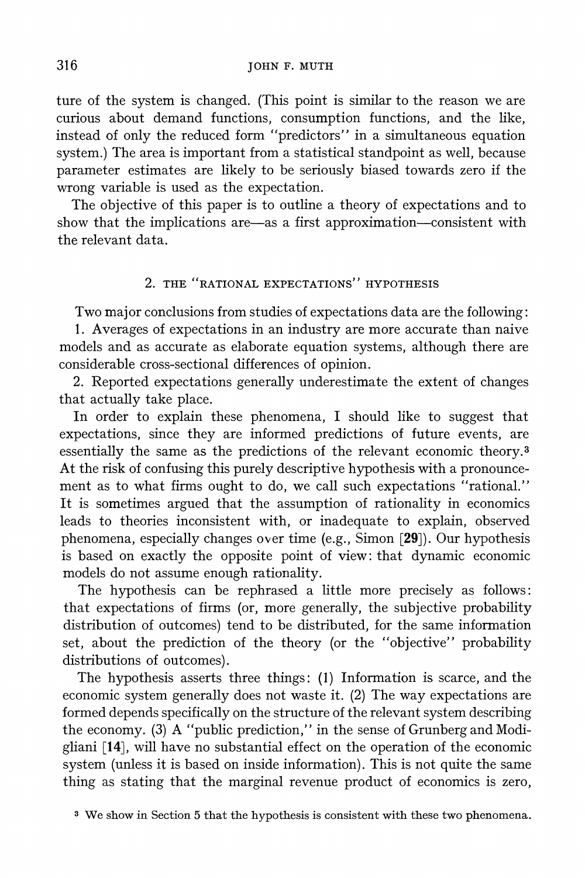**ture of the system is changed. (This point is similar to the reason we are curious about demand functions, consumption functions, and the like, instead of only the reduced form "predictors" in a simultaneous equation system.) The area is important from a statistical standpoint as well, because parameter estimates are likely to be seriously biased towards zero if the wrong variable is used as the expectation.** 

**The objective of this paper is to outline a theory of expectations and to show that the implications are-as a first approximation-consistent with the relevant data.** 

# **2. THE "RATIONAL EXPECTATIONS" HYPOTHESIS**

**Two major conclusions from studies of expectations data are the following:** 

**1. Averages of expectations in an industry are more accurate than naive models and as accurate as elaborate equation systems, although there are considerable cross-sectional differences of opinion.** 

**2. Reported expectations generally underestimate the extent of changes that actually take place.** 

**In order to explain these phenomena, I should like to suggest that expectations, since they are informed predictions of future events, are essentially the same as the predictions of the relevant economic theory.3 At the risk of confusing this purely descriptive hypothesis with a pronouncement as to what firms ought to do, we call such expectations "rational." It is sometimes argued that the assumption of rationality in economics leads to theories inconsistent with, or inadequate to explain, observed phenomena, especially changes over time (e.g., Simon [29]). Our hypothesis is based on exactly the opposite point of view: that dynamic economic models do not assume enough rationality.** 

**The hypothesis can be rephrased a little more precisely as follows: that expectations of firms (or, more generally, the subjective probability distribution of outcomes) tend to be distributed, for the same information set, about the prediction of the theory (or the "objective" probability distributions of outcomes).** 

**The hypothesis asserts three things: (1) Information is scarce, and the economic system generally does not waste it. (2) The way expectations are formed depends specifically on the structure of the relevant system describing the economy. (3) A "public prediction," in the sense of Grunberg and Modigliani [14], will have no substantial effect on the operation of the economic system (unless it is based on inside information). This is not quite the same thing as stating that the marginal revenue product of economics is zero,** 

**<sup>3</sup> We show in Section 5 that the hypothesis is consistent with these two phenomena.**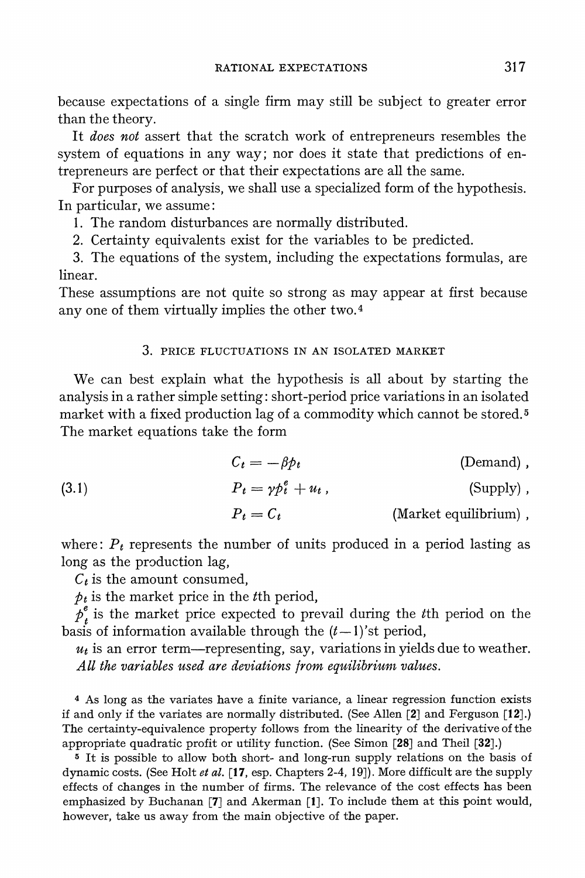**because expectations of a single firm may still be subject to greater error than the theory.** 

**It does not assert that the scratch work of entrepreneurs resembles the system of equations in any way; nor does it state that predictions of entrepreneurs are perfect or that their expectations are all the same.** 

**For purposes of analysis, we shall use a specialized form of the hypothesis. In particular, we assume:** 

**1. The random disturbances are normally distributed.** 

**2. Certainty equivalents exist for the variables to be predicted.** 

**3. The equations of the system, including the expectations formulas, are linear.** 

**These assumptions are not quite so strong as may appear at first because any one of them virtually implies the other two.4** 

#### **3. PRICE FLUCTUATIONS IN AN ISOLATED MARKET**

**We can best explain what the hypothesis is all about by starting the analysis in a rather simple setting: short-period price variations in an isolated market with a fixed production lag of a commodity which cannot be stored.5 The market equations take the form** 

$$
C_t = -\beta p_t \qquad \qquad \text{(Demand)}\ ,
$$

$$
(3.1) \t\t\t P_t = \gamma p_t^e + u_t, \t\t\t(Supply),
$$

$$
P_t = C_t
$$
 (Market equilibrium),

where:  $P_t$  represents the number of units produced in a period lasting as **long as the production lag,** 

 $C_t$  is the amount consumed,

 $p_t$  is the market price in the  $t$ <sup>th</sup> period,

 $p_t^e$  is the market price expected to prevail during the *t*th period on the basis of information available through the  $(t-1)$ 'st period,

 $u_t$  is an error term—representing, say, variations in yields due to weather. All the variables used are deviations from equilibrium values.

**4 As long as the variates have a finite variance, a linear regression function exists if and only if the variates are normally distributed. (See Allen [2] and Ferguson [12].) The certainty-equivalence property follows from the linearity of the derivative of the appropriate quadratic profit or utility function. (See Simon [28] and Theil [32].)** 

**<sup>5</sup>It is possible to allow both short- and long-run supply relations on the basis of dynamic costs. (See Holt et al. [17, esp. Chapters 2-4, 19]). More difficult are the supply effects of changes in the number of firms. The relevance of the cost effects has been emphasized by Buchanan [7] and Akerman [1]. To include them at this point would, however, take us away from the main objective of the paper.**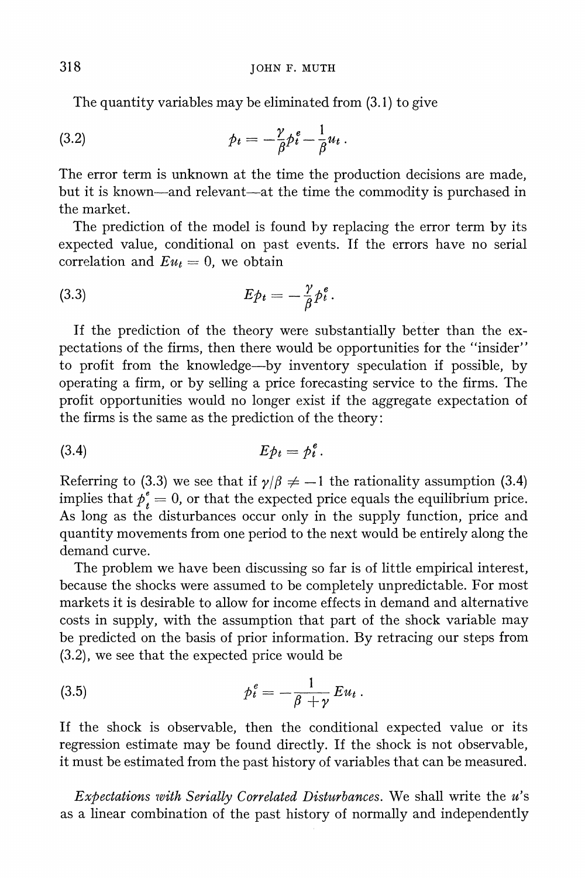**The quantity variables may be eliminated from (3.1) to give** 

$$
\hat{p}_t = -\frac{\gamma}{\beta} \hat{p}_t^{\epsilon} - \frac{1}{\beta} u_t \, .
$$

**The error term is unknown at the time the production decisions are made, but it is known-and relevant-at the time the commodity is purchased in the market.** 

**The prediction of the model is found by replacing the error term by its expected value, conditional on past events. If the errors have no serial**  correlation and  $Eu_t = 0$ , we obtain

$$
(3.3) \tEp_t = -\frac{\gamma}{\beta} p_t^e.
$$

**If the prediction of the theory were substantially better than the expectations of the firms, then there would be opportunities for the "insider" to profit from the knowledge-by inventory speculation if possible, by operating a firm, or by selling a price forecasting service to the firms. The profit opportunities would no longer exist if the aggregate expectation of the firms is the same as the prediction of the theory:** 

$$
(3.4) \tEp_t = p_t^e.
$$

Referring to (3.3) we see that if  $\gamma/\beta \neq -1$  the rationality assumption (3.4) implies that  $p^e = 0$ , or that the expected price equals the equilibrium price. **As long as the disturbances occur only in the supply function, price and quantity movements from one period to the next would be entirely along the demand curve.** 

**The problem we have been discussing so far is of little empirical interest, because the shocks were assumed to be completely unpredictable. For most markets it is desirable to allow for income effects in demand and alternative costs in supply, with the assumption that part of the shock variable may be predicted on the basis of prior information. By retracing our steps from (3.2), we see that the expected price would be** 

**(3.5) Pt e Eut .** 

**If the shock is observable, then the conditional expected value or its regression estimate may be found directly. If the shock is not observable, it must be estimated from the past history of variables that can be measured.** 

**Expectations with Serially Correlated Disturbances. We shall write the u's as a linear combination of the past history of normally and independently**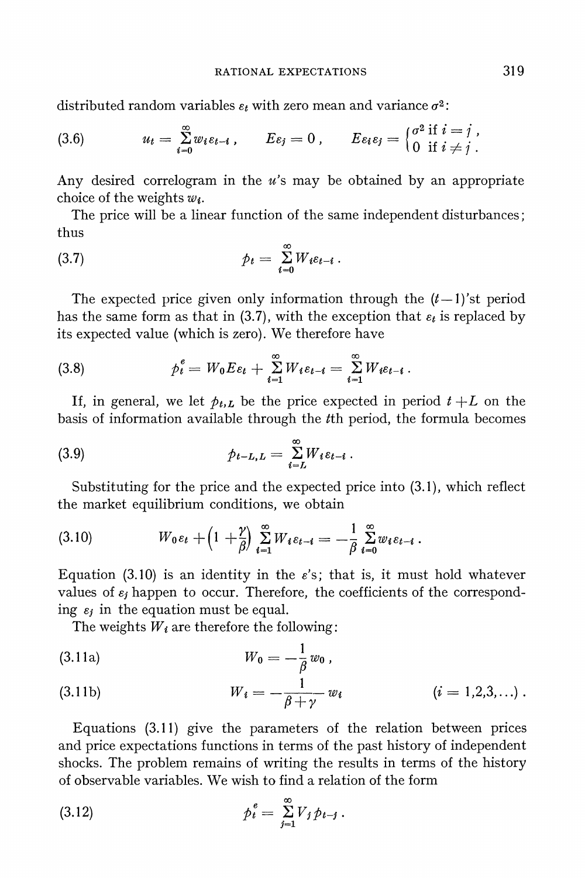distributed random variables  $\varepsilon_t$  with zero mean and variance  $\sigma^2$ :

(3.6) 
$$
u_t = \sum_{i=0}^{\infty} w_i \varepsilon_{t-i} , \qquad E\varepsilon_j = 0 , \qquad E\varepsilon_i \varepsilon_j = \begin{cases} \sigma^2 \text{ if } i = j \\ 0 \text{ if } i \neq j \end{cases}.
$$

**Any desired correlogram in the u's may be obtained by an appropriate choice of the weights wi.** 

**The price will be a linear function of the same independent disturbances; thus** 

**00 (3.7) it- E wiet-iE i=0** 

The expected price given only information through the  $(t-1)$ 'st period has the same form as that in  $(3.7)$ , with the exception that  $\varepsilon_t$  is replaced by **its expected value (which is zero). We therefore have** 

(3.8) 
$$
p_t^e = W_0 E \varepsilon_t + \sum_{i=1}^{\infty} W_i \varepsilon_{t-i} = \sum_{i=1}^{\infty} W_i \varepsilon_{t-i}.
$$

If, in general, we let  $p_{t,L}$  be the price expected in period  $t + L$  on the **basis of information available through the tth period, the formula becomes** 

**00 (3.9) fit-L,L -E Wist-iE i=L** 

**Substituting for the price and the expected price into (3.1), which reflect the market equilibrium conditions, we obtain** 

(3.10) 
$$
W_0 \varepsilon_t + \left(1 + \frac{\gamma}{\beta}\right) \sum_{i=1}^{\infty} W_i \varepsilon_{t-i} = -\frac{1}{\beta} \sum_{i=0}^{\infty} w_i \varepsilon_{t-i}.
$$

Equation  $(3.10)$  is an identity in the  $\varepsilon$ 's; that is, it must hold whatever values of  $\varepsilon_i$  happen to occur. Therefore, the coefficients of the corresponding  $\varepsilon_i$  in the equation must be equal.

The weights  $W_i$  are therefore the following:

(3.11a)  
\n
$$
W_0 = -\frac{1}{\beta} w_0,
$$
\n
$$
W_i = -\frac{1}{\beta + \gamma} w_i
$$
\n
$$
(i = 1, 2, 3, ...).
$$

**Equations (3.1 1) give the parameters of the relation between prices and price expectations functions in terms of the past history of independent shocks. The problem remains of writing the results in terms of the history of observable variables. We wish to find a relation of the form** 

(3.12) 
$$
p_t^e = \sum_{j=1}^{\infty} V_j p_{t-j} .
$$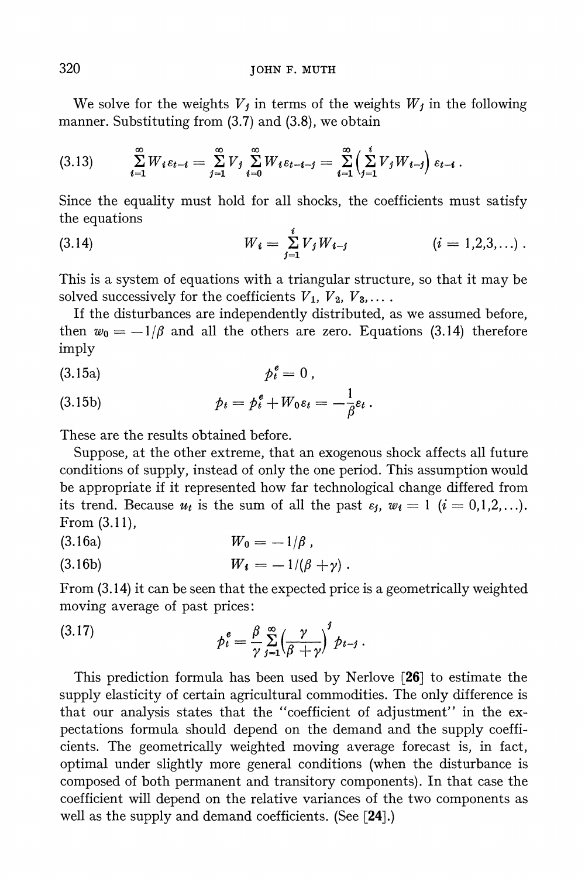We solve for the weights  $V_i$  in terms of the weights  $W_i$  in the following **manner. Substituting from (3.7) and (3.8), we obtain** 

$$
(3.13) \qquad \sum_{i=1}^{\infty} W_i \varepsilon_{t-i} = \sum_{j=1}^{\infty} V_j \sum_{i=0}^{\infty} W_i \varepsilon_{t-i-j} = \sum_{i=1}^{\infty} \left( \sum_{j=1}^{i} V_j W_{i-j} \right) \varepsilon_{t-i}.
$$

**Since the equality must hold for all shocks, the coefficients must satisfy the equations** 

(3.14) 
$$
W_i = \sum_{j=1}^i V_j W_{i-j} \qquad (i = 1, 2, 3, \ldots).
$$

**This is a system of equations with a triangular structure, so that it may be**  solved successively for the coefficients  $V_1$ ,  $V_2$ ,  $V_3$ ,...

**If the disturbances are independently distributed, as we assumed before,**  then  $w_0 = -1/\beta$  and all the others are zero. Equations (3.14) therefore **imply** 

**(3.15a) t** 

(3.15b) 
$$
p_t = p_t^e + W_0 \varepsilon_t = -\frac{1}{\beta} \varepsilon_t.
$$

**These are the results obtained before.** 

**Suppose, at the other extreme, that an exogenous shock affects all future conditions of supply, instead of only the one period. This assumption would be appropriate if it represented how far technological change differed from**  its trend. Because  $u_t$  is the sum of all the past  $\varepsilon_i$ ,  $w_i = 1$  ( $i = 0,1,2,...$ ). **From (3.1 1),** 

(3.16a) 
$$
W_0 = -1/\beta
$$
,

$$
(3.16b) \t Wi = -1/(\beta + \gamma).
$$

**From (3.14) it can be seen that the expected price is a geometrically weighted moving average of past prices:** 

(3.17) 
$$
p_t^e = \frac{\beta}{\gamma} \sum_{j=1}^{\infty} \left( \frac{\gamma}{\beta + \gamma} \right)^j p_{t-j} .
$$

**This prediction formula has been used by Nerlove [26] to estimate the supply elasticity of certain agricultural commodities. The only difference is that our analysis states that the "coefficient of adjustment" in the expectations formula should depend on the demand and the supply coefficients. The geometrically weighted moving average forecast is, in fact, optimal under slightly more general conditions (when the disturbance is composed of both permanent and transitory components). In that case the coefficient will depend on the relative variances of the two components as well as the supply and demand coefficients. (See [24].)**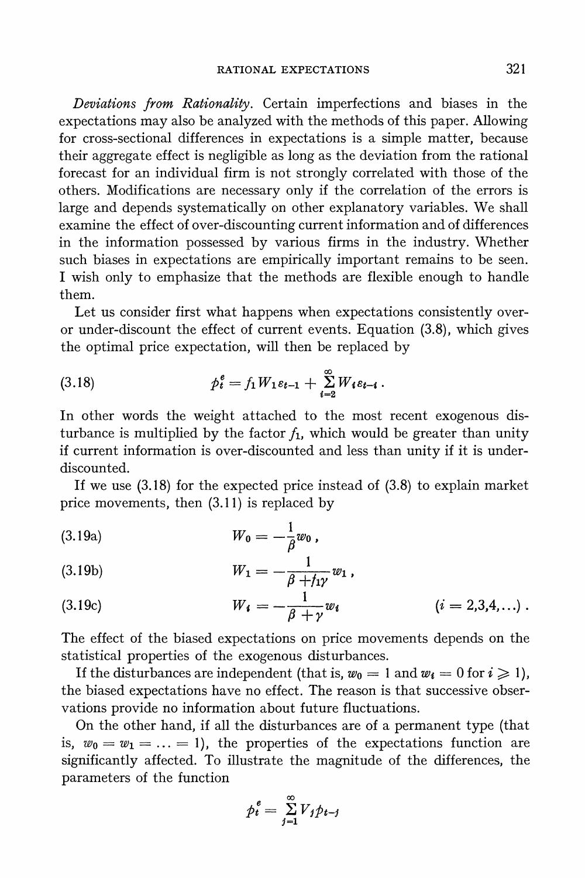**Deviations from Rationality. Certain imperfections and biases in the expectations may also be analyzed with the methods of this paper. Allowing for cross-sectional differences in expectations is a simple matter, because their aggregate effect is negligible as long as the deviation from the rational forecast for an individual firm is not strongly correlated with those of the others. Modifications are necessary only if the correlation of the errors is large and depends systematically on other explanatory variables. We shall examine the effect of over-discounting current information and of differences in the information possessed by various firms in the industry. Whether such biases in expectations are empirically important remains to be seen. I wish only to emphasize that the methods are flexible enough to handle them.** 

**Let us consider first what happens when expectations consistently overor under-discount the effect of current events. Equation (3.8), which gives the optimal price expectation, will then be replaced by** 

(3.18) 
$$
p_t^e = f_1 W_1 \varepsilon_{t-1} + \sum_{i=2}^{\infty} W_i \varepsilon_{t-i}.
$$

**In other words the weight attached to the most recent exogenous dis**turbance is multiplied by the factor  $f_1$ , which would be greater than unity **if current information is over-discounted and less than unity if it is underdiscounted.** 

**If we use (3.18) for the expected price instead of (3.8) to explain market price movements, then (3.1 1) is replaced by** 

(3.19a) 
$$
W_0 = -\frac{1}{\beta} w_0,
$$

$$
(3.19b) \t W_1 = -\frac{1}{\beta + h\gamma} w_1
$$

(3.19c) 
$$
W_i = -\frac{1}{\beta + \gamma} w_i \qquad (i = 2, 3, 4, \ldots).
$$

**The effect of the biased expectations on price movements depends on the statistical properties of the exogenous disturbances.** 

If the disturbances are independent (that is,  $w_0 = 1$  and  $w_i = 0$  for  $i \ge 1$ ), **the biased expectations have no effect. The reason is that successive observations provide no information about future fluctuations.** 

**On the other hand, if all the disturbances are of a permanent type (that**  is,  $w_0 = w_1 = \ldots = 1$ , the properties of the expectations function are **significantly affected. To illustrate the magnitude of the differences, the parameters of the function** 

$$
p_t^e = \sum_{j=1}^{\infty} V_j p_{t-j}
$$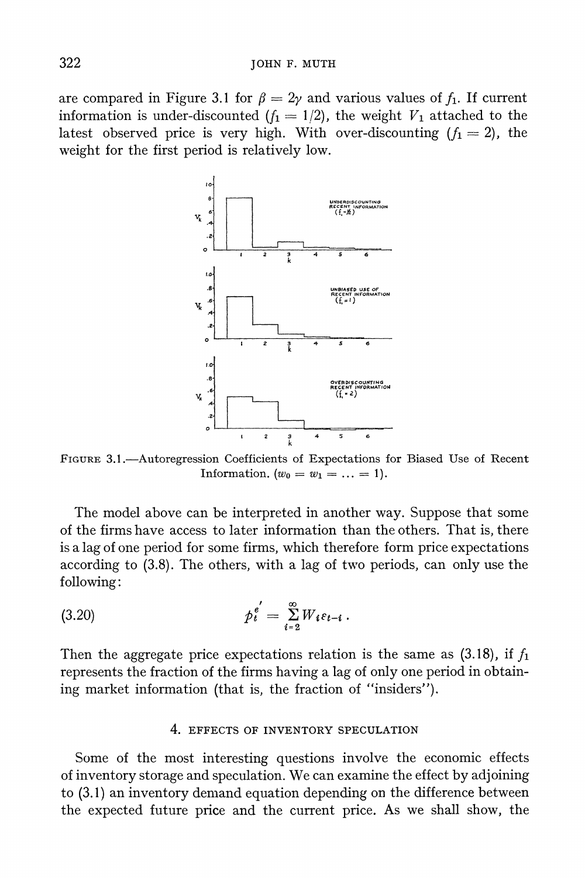are compared in Figure 3.1 for  $\beta = 2\gamma$  and various values of  $f_1$ . If current information is under-discounted ( $f_1 = 1/2$ ), the weight  $V_1$  attached to the latest observed price is very high. With over-discounting  $(f_1 = 2)$ , the **weight for the first period is relatively low.** 



**FIGURE 3.1.-Autoregression Coefficients of Expectations for Biased Use of Recent Information.**  $(w_0 = w_1 = ... = 1)$ .

**The model above can be interpreted in another way. Suppose that some of the firms have access to later information than the others. That is, there is a lag of one period for some firms, which therefore form price expectations according to (3.8). The others, with a lag of two periods, can only use the following:** 

**, 00 (3.20) pt t-= Ew i=2** 

Then the aggregate price expectations relation is the same as  $(3.18)$ , if  $f_1$ **represents the fraction of the firms having a lag of only one period in obtaining market information (that is, the fraction of "insiders").** 

### **4. EFFECTS OF INVENTORY SPECULATION**

**Some of the most interesting questions involve the economic effects of inventory storage and speculation. We can examine the effect by adjoining to (3.1) an inventory demand equation depending on the difference between the expected future price and the current price. As we shall show, the**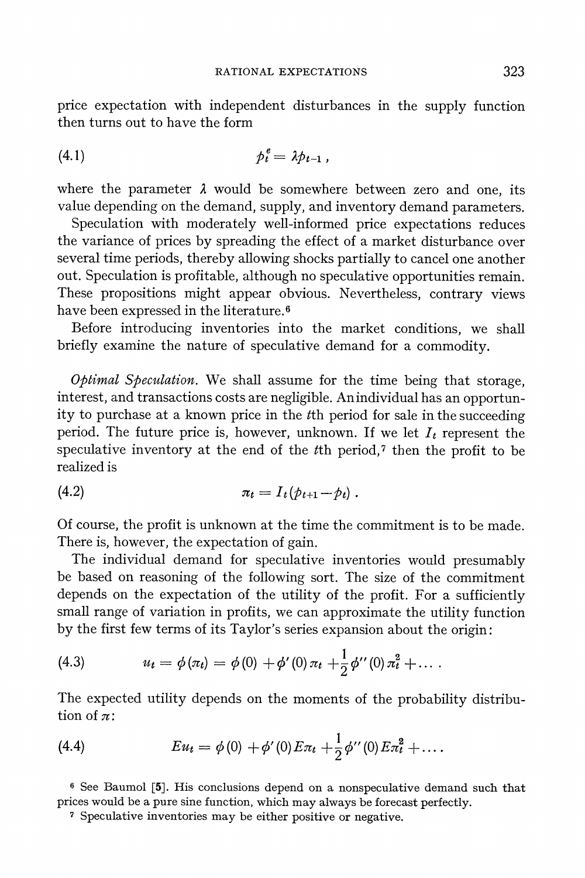**price expectation with independent disturbances in the supply function then turns out to have the form** 

**(4.1) ft'At\_i** 

where the parameter  $\lambda$  would be somewhere between zero and one, its **value depending on the demand, supply, and inventory demand parameters.** 

**Speculation with moderately well-informed price expectations reduces the variance of prices by spreading the effect of a market disturbance over several time periods, thereby allowing shocks partially to cancel one another out. Speculation is profitable, although no speculative opportunities remain. These propositions might appear obvious. Nevertheless, contrary views have been expressed in the literature.6** 

**Before introducing inventories into the market conditions, we shall briefly examine the nature of speculative demand for a commodity.** 

**Optimal Speculation. We shall assume for the time being that storage, interest, and transactions costs are negligible. An individual has an opportunity to purchase at a known price in the tth period for sale in the succeeding**  period. The future price is, however, unknown. If we let  $I_t$  represent the **speculative inventory at the end of the tth period,7 then the profit to be realized is** 

(4.2) 
$$
\pi_t = I_t(p_{t+1} - p_t).
$$

**Of course, the profit is unknown at the time the commitment is to be made. There is, however, the expectation of gain.** 

**The individual demand for speculative inventories would presumably be based on reasoning of the following sort. The size of the commitment depends on the expectation of the utility of the profit. For a sufficiently small range of variation in profits, we can approximate the utility function by the first few terms of its Taylor's series expansion about the origin:** 

(4.3) 
$$
u_t = \phi(\pi_t) = \phi(0) + \phi'(0)\pi_t + \frac{1}{2}\phi''(0)\pi_t^2 + \dots
$$

**The expected utility depends on the moments of the probability distribu**tion of  $\pi$ :

(4.4) 
$$
E u_t = \phi(0) + \phi'(0) E \pi_t + \frac{1}{2} \phi''(0) E \pi_t^2 + \dots
$$

**<sup>6</sup>See Baumol [5]. His conclusions depend on a nonspeculative demand such that prices would be a pure sine function, which may always be forecast perfectly.** 

**7 Speculative inventories may be either positive or negative.**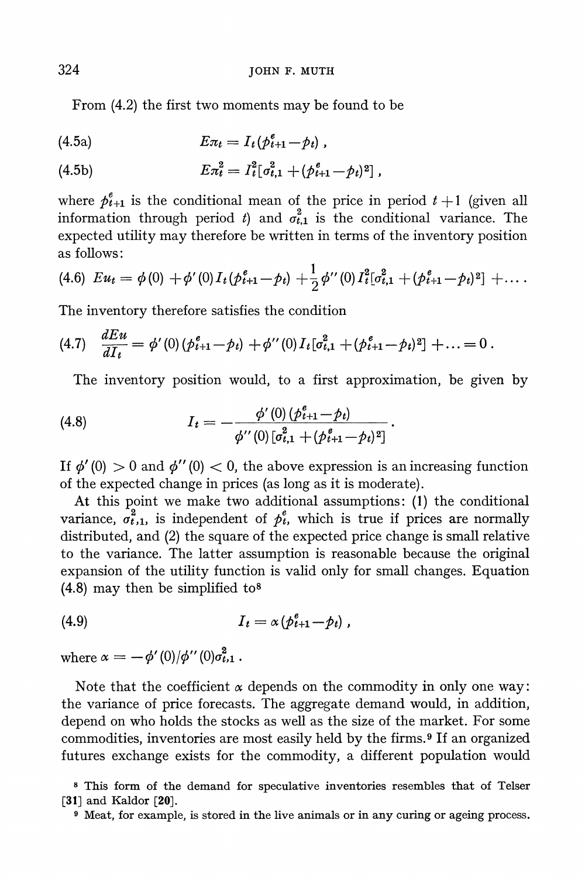**From (4.2) the first two moments may be found to be** 

(4.5a) 
$$
E\pi_t = I_t(p_{t+1}^e - p_t),
$$

(4.5b) 
$$
E\pi_t^2 = I_t^2[\sigma_{t,1}^2 + (p_{t+1}^e - p_t)^2],
$$

where  $p_{t+1}^e$  is the conditional mean of the price in period  $t + 1$  (given all **information** through period t) and  $\sigma_{t,1}^2$  is the conditional variance. The **expected utility may therefore be written in terms of the inventory position as follows:** 

$$
(4.6) \ E u_t = \phi(0) + \phi'(0) I_t (\rho_{t+1}^e - p_t) + \frac{1}{2} \phi''(0) I_t^2 [\sigma_{t,1}^2 + (\rho_{t+1}^e - p_t)^2] + \ldots
$$

**The inventory therefore satisfies the condition** 

$$
(4.7) \quad \frac{dEu}{dI_t} = \phi'(0) \left( p_{t+1}^e - p_t \right) + \phi''(0) I_t[\sigma_{t,1}^2 + (p_{t+1}^e - p_t)^2] + \ldots = 0
$$

**The inventory position would, to a first approximation, be given by** 

(4.8) 
$$
I_t = -\frac{\phi'(0)(p_{t+1}^{\theta} - p_t)}{\phi''(0)[\sigma_{t,1}^2 + (p_{t+1}^{\theta} - p_t)^2]}.
$$

If  $\phi'(0) > 0$  and  $\phi''(0) < 0$ , the above expression is an increasing function **of the expected change in prices (as long as it is moderate).** 

**At this point we make two additional assumptions: (1) the conditional variance,**  $\sigma_{t,1}^{2}$ , is independent of  $p_{t}^{e}$ , which is true if prices are normally **distributed, and (2) the square of the expected price change is small relative to the variance. The latter assumption is reasonable because the original expansion of the utility function is valid only for small changes. Equation (4.8) may then be simplified to8** 

$$
(4.9) \t\t\t I_t = \alpha (p_{t+1}^e - p_t) ,
$$

where  $\alpha = -\phi'(0)/\phi''(0)\sigma_{t,1}^2$ .

Note that the coefficient  $\alpha$  depends on the commodity in only one way: **the variance of price forecasts. The aggregate demand would, in addition, depend on who holds the stocks as well as the size of the market. For some commodities, inventories are most easily held by the firms.9 If an organized futures exchange exists for the commodity, a different population would** 

**8 This form of the demand for speculative inventories resembles that of Telser [31] and Kaldor [20].** 

**9 Meat, for example, is stored in the live animals or in any curing or ageing process.**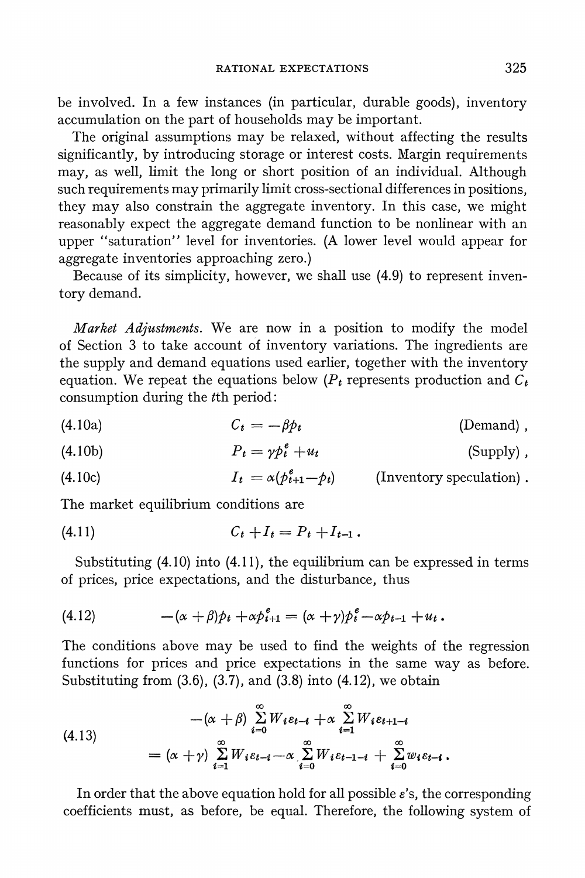**be involved. In a few instances (in particular, durable goods), inventory accumulation on the part of households may be important.** 

**The original assumptions may be relaxed, without affecting the results significantly, by introducing storage or interest costs. Margin requirements may, as well, limit the long or short position of an individual. Although such requirements may primarily limit cross-sectional differences in positions, they may also constrain the aggregate inventory. In this case, we might reasonably expect the aggregate demand function to be nonlinear with an upper "saturation" level for inventories. (A lower level would appear for aggregate inventories approaching zero.)** 

**Because of its simplicity, however, we shall use (4.9) to represent inventory demand.** 

**Market Adjustments. We are now in a position to modify the model of Section 3 to take account of inventory variations. The ingredients are the supply and demand equations used earlier, together with the inventory**  equation. We repeat the equations below  $(P_t)$  represents production and  $C_t$ **consumption during the tth period:** 

$$
(4.10a) \tCt = -\beta pt \t(Demand),
$$

$$
(4.10b) \t\t\t P_t = \gamma p_t^e + u_t \t\t\t (Supply),
$$

(4.10c) 
$$
I_t = \alpha(\hat{p}_{t+1}^e - \hat{p}_t) \qquad \text{(Inventory speculation)}.
$$

**The market equilibrium conditions are** 

$$
(4.11) \tCt + It = Pt + It-1
$$

**Substituting (4. 10) into (4.1 1), the equilibrium can be expressed in terms of prices, price expectations, and the disturbance, thus** 

(4.12) 
$$
-(\alpha + \beta)p_t + \alpha p_{t+1}^e = (\alpha + \gamma)p_t^e - \alpha p_{t-1} + u_t.
$$

**The conditions above may be used to find the weights of the regression functions for prices and price expectations in the same way as before. Substituting from (3.6), (3.7), and (3.8) into (4.12), we obtain** 

(4.13)  
\n
$$
-(\alpha + \beta) \sum_{i=0}^{\infty} W_i \varepsilon_{t-i} + \alpha \sum_{i=1}^{\infty} W_i \varepsilon_{t+1-i}
$$
\n
$$
= (\alpha + \gamma) \sum_{i=1}^{\infty} W_i \varepsilon_{t-i} - \alpha \sum_{i=0}^{\infty} W_i \varepsilon_{t-1-i} + \sum_{i=0}^{\infty} w_i \varepsilon_{t-i}.
$$

In order that the above equation hold for all possible  $\varepsilon$ 's, the corresponding **coefficients must, as before, be equal. Therefore, the following system of**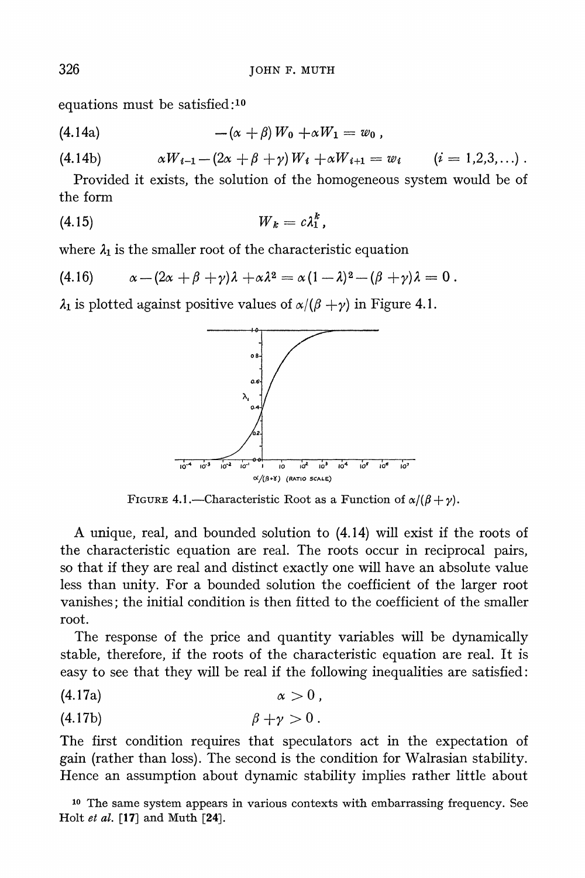**equations must be satisfied:10** 

(4.14a) 
$$
-(\alpha + \beta) W_0 + \alpha W_1 = w_0,
$$

**(4.14b)**  $\alpha W_{i-1} - (2\alpha + \beta + \gamma) W_i + \alpha W_{i+1} = w_i \qquad (i = 1, 2, 3, \ldots).$ 

**Provided it exists, the solution of the homogeneous system would be of the form** 

$$
(4.15) \t\t W_k = c \lambda_1^k,
$$

where  $\lambda_1$  is the smaller root of the characteristic equation

(4.16) 
$$
\alpha - (2\alpha + \beta + \gamma)\lambda + \alpha\lambda^2 = \alpha(1-\lambda)^2 - (\beta + \gamma)\lambda = 0.
$$

 $\lambda_1$  is plotted against positive values of  $\alpha/(\beta + \gamma)$  in Figure 4.1.



FIGURE **4.1.**—Characteristic Root as a Function of  $\alpha/(\beta + \gamma)$ .

**A unique, real, and bounded solution to (4.14) will exist if the roots of the characteristic equation are real. The roots occur in reciprocal pairs, so that if they are real and distinct exactly one will have an absolute value less than unity. For a bounded solution the coefficient of the larger root vanishes; the initial condition is then fitted to the coefficient of the smaller root.** 

**The response of the price and quantity variables will be dynamically stable, therefore, if the roots of the characteristic equation are real. It is easy to see that they will be real if the following inequalities are satisfied:** 

$$
\alpha > 0
$$
 (4.17a)

$$
\beta + \gamma > 0.
$$

**The first condition requires that speculators act in the expectation of gain (rather than loss). The second is the condition for Walrasian stability. Hence an assumption about dynamic stability implies rather little about** 

**10 The same system appears in various contexts with embarrassing frequency. See Holt et al. [17] and Muth [24].**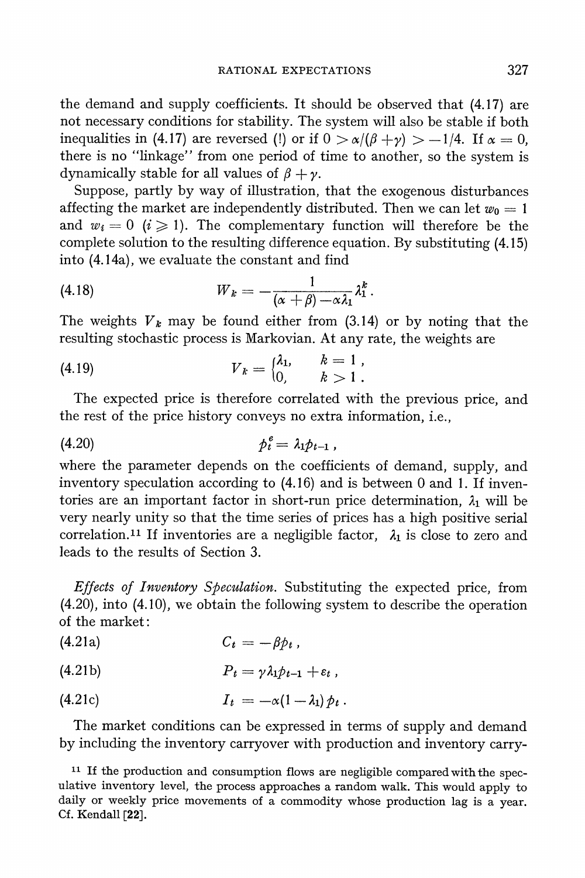**the demand and supply coefficients. It should be observed that (4.17) are not necessary conditions for stability. The system will also be stable if both**  inequalities in (4.17) are reversed (!) or if  $0 > \alpha/(\beta + \gamma) > -1/4$ . If  $\alpha = 0$ , **there is no "linkage" from one period of time to another, so the system is**  dynamically stable for all values of  $\beta + \gamma$ .

**Suppose, partly by way of illustration, that the exogenous disturbances**  affecting the market are independently distributed. Then we can let  $w_0 = 1$ and  $w_i = 0$  ( $i \ge 1$ ). The complementary function will therefore be the **complete solution to the resulting difference equation. By substituting (4.15) into (4.14a), we evaluate the constant and find** 

(4.18) 
$$
W_k = -\frac{1}{(\alpha + \beta) - \alpha \lambda_1} \lambda_1^k.
$$

The weights  $V_k$  may be found either from  $(3.14)$  or by noting that the **resulting stochastic process is Markovian. At any rate, the weights are** 

(4.19) 
$$
V_k = \begin{cases} \lambda_1, & k = 1 \\ 0, & k > 1 \end{cases}.
$$

**The expected price is therefore correlated with the previous price, and**  the rest of the price history conveys no extra information, *i.e.*,

**(4.20) pt ipt-\_** 

**where the parameter depends on the coefficients of demand, supply, and inventory speculation according to (4.16) and is between 0 and 1. If inven**tories are an important factor in short-run price determination,  $\lambda_1$  will be **very nearly unity so that the time series of prices has a high positive serial**  correlation.<sup>11</sup> If inventories are a negligible factor,  $\lambda_1$  is close to zero and **leads to the results of Section 3.** 

**Effects of Inventory Speculation. Substituting the expected price, from (4.20), into (4.10), we obtain the following system to describe the operation of the market:** 

$$
(4.21a) \tCt = -\beta pt,
$$

$$
(4.21b) \t\t\t P_t = \gamma \lambda_1 p_{t-1} + \varepsilon_t ,
$$

$$
(4.21c) \t I_t = -\alpha(1-\lambda_1) p_t.
$$

**The market conditions can be expressed in terms of supply and demand by including the inventory carryover with production and inventory carry-**

**11 If the production and consumption flows are negligible comparedwiththe speculative inventory level, the process approaches a random walk. This would apply to daily or weekly price movements of a commodity whose production lag is a year. Cf. Kendall [22].**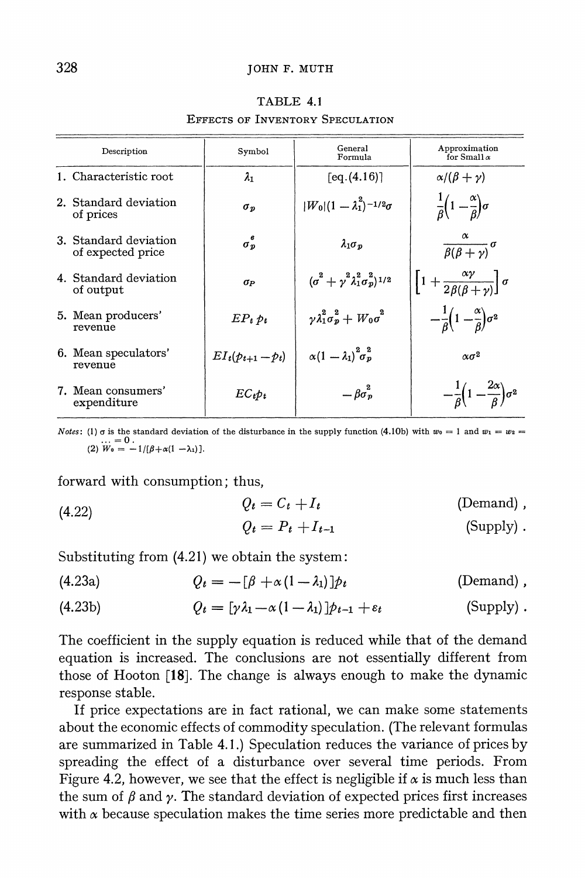| Description |                                            | Symbol                | General<br>Formula                                   | Approximation<br>for Small $\alpha$                              |
|-------------|--------------------------------------------|-----------------------|------------------------------------------------------|------------------------------------------------------------------|
|             | 1. Characteristic root                     | $\lambda_1$           | [eq.(4.16)]                                          | $\alpha/(\beta + \gamma)$                                        |
|             | 2. Standard deviation<br>of prices         | $\sigma_{\bm{v}}$     | $ W_0 (1-\lambda_1^2)^{-1/2}\sigma$                  | $\frac{1}{\beta}\left(1-\frac{\alpha}{\beta}\right)\sigma$       |
|             | 3. Standard deviation<br>of expected price | $\sigma_p^e$          | $\lambda_1 \sigma_p$                                 | $\frac{1}{\beta(\beta+\gamma)}\sigma$                            |
|             | 4. Standard deviation<br>of output         | $\sigma_P$            | $(\sigma^2 + \gamma^2 \lambda_1^2 \sigma_p^2)^{1/2}$ | $\left[1+\frac{\alpha\gamma}{2\beta(\beta+\gamma)}\right]\sigma$ |
|             | 5. Mean producers'<br>revenue              | $EP_t$ $p_t$          | $\nu \lambda_1^2 \sigma_n^2 + W_0 \sigma^2$          | $-\frac{1}{\beta}\left(1-\frac{\alpha}{\beta}\right)\sigma^2$    |
|             | 6. Mean speculators'<br>revenue            | $EI_t(p_{t+1} - p_t)$ | $\alpha {(1-\lambda_1)}^2 {\sigma}_n^2$              | $\alpha\sigma^2$                                                 |
|             | 7. Mean consumers'<br>expenditure          | $EC_{t}p_{t}$         | $-\beta \sigma_p^2$                                  | $-\frac{1}{\beta}\left(1-\frac{2\alpha}{\rho}\right)\sigma^2$    |

**TABLE 4.1 EFFECTS OF INVENTORY SPECULATION** 

*Notes*: (1)  $\sigma$  is the standard deviation of the disturbance in the supply function (4.10b) with  $w_0 = 1$  and  $w_1 = w_2 = 1$  $\mu_0 := 0$ .<br> **(2)**  $W_0 = -1/[\beta + \alpha(1 - \lambda_1)]$ 

**forward with consumption; thus,** 

(4.22) 
$$
Q_t = C_t + I_t
$$
 (Demand),  
\n
$$
Q_t = P_t + I_{t-1}
$$
 (Supply).

**Substituting from (4.21) we obtain the system:** 

(4.23a) 
$$
Q_t = -[\beta + \alpha (1 - \lambda_1)] p_t
$$
 (Demand),

(4.23b) 
$$
Q_t = [\gamma \lambda_1 - \alpha (1 - \lambda_1)] p_{t-1} + \varepsilon_t \qquad \text{(Supply)}.
$$

**The coefficient in the supply equation is reduced while that of the demand equation is increased. The conclusions are not essentially different from those of Hooton [18]. The change is always enough to make the dynamic response stable.** 

**If price expectations are in fact rational, we can make some statements about the economic effects of commodity speculation. (The relevant formulas are summarized in Table 4.1.) Speculation reduces the variance of prices by spreading the effect of a disturbance over several time periods. From**  Figure 4.2, however, we see that the effect is negligible if  $\alpha$  is much less than the sum of  $\beta$  and  $\gamma$ . The standard deviation of expected prices first increases with  $\alpha$  because speculation makes the time series more predictable and then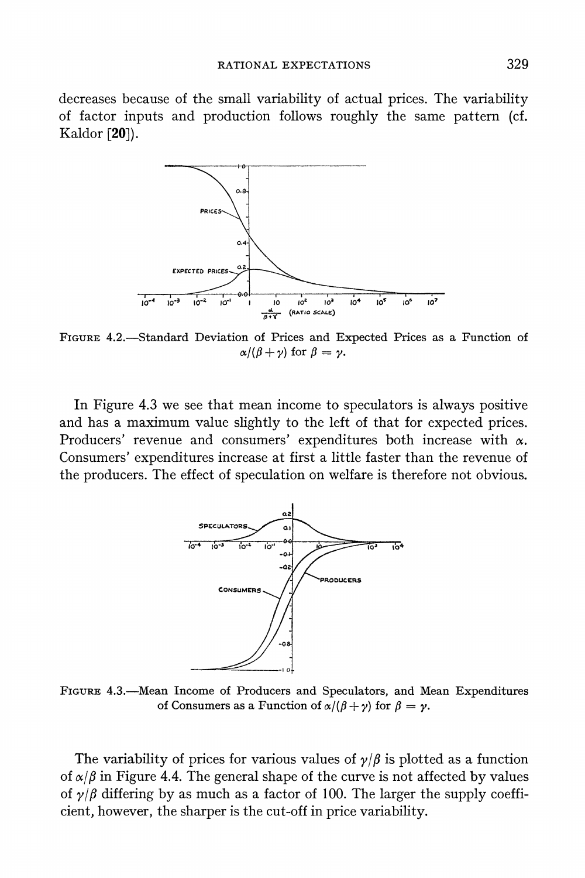**decreases because of the small variability of actual prices. The variability of factor inputs and production follows roughly the same pattern (cf. Kaldor [20]).** 



**FIGURE 4.2.-Standard Deviation of Prices and Expected Prices as a Function of**   $\alpha/(\beta + \gamma)$  for  $\beta = \gamma$ .

**In Figure 4.3 we see that mean income to speculators is always positive and has a maximum value slightly to the left of that for expected prices.**  Producers' revenue and consumers' expenditures both increase with  $\alpha$ . **Consumers' expenditures increase at first a little faster than the revenue of the producers. The effect of speculation on welfare is therefore not obvious.** 



**FIGURE 4.3.-Mean Income of Producers and Speculators, and Mean Expenditures**  of Consumers as a Function of  $\alpha/(\beta + \gamma)$  for  $\beta = \gamma$ .

The variability of prices for various values of  $\gamma/\beta$  is plotted as a function of  $\alpha/\beta$  in Figure 4.4. The general shape of the curve is not affected by values of  $\gamma/\beta$  differing by as much as a factor of 100. The larger the supply coeffi**cient, however, the sharper is the cut-off in price variability.**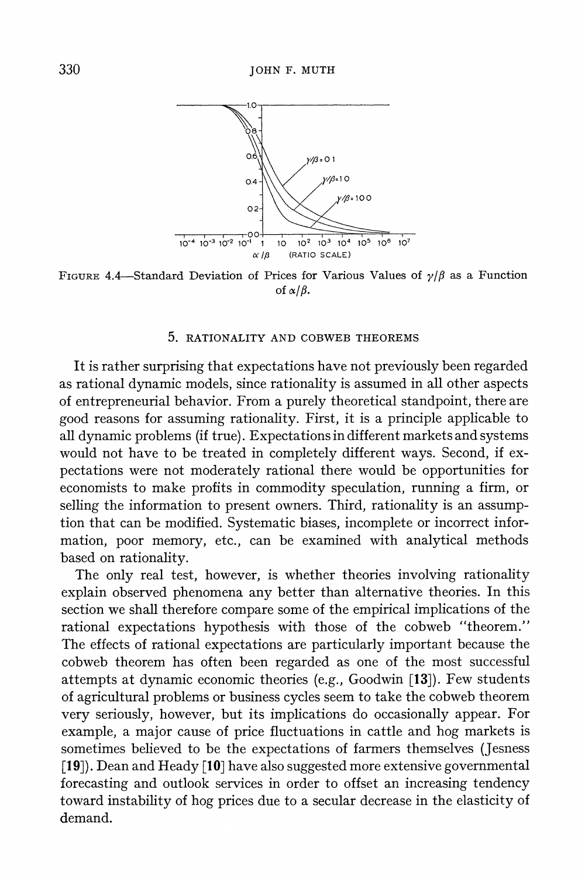

FIGURE 4.4-Standard Deviation of Prices for Various Values of  $\gamma/\beta$  as a Function of  $\alpha/\beta$ .

#### **5. RATIONALITY AND COBWEB THEOREMS**

**It is rather surprising that expectations have not previously been regarded as rational dynamic models, since rationality is assumed in all other aspects of entrepreneurial behavior. From a purely theoretical standpoint, there are good reasons for assuming rationality. First, it is a principle applicable to all dynamic problems (if true). Expectations in different markets and systems would not have to be treated in completely different ways. Second, if expectations were not moderately rational there would be opportunities for economists to make profits in commodity speculation, running a firm, or selling the information to present owners. Third, rationality is an assumption that can be modified. Systematic biases, incomplete or incorrect information, poor memory, etc., can be examined with analytical methods based on rationality.** 

**The only real test, however, is whether theories involving rationality explain observed phenomena any better than alternative theories. In this section we shall therefore compare some of the empirical implications of the rational expectations hypothesis with those of the cobweb "theorem." The effects of rational expectations are particularly important because the cobweb theorem has often been regarded as one of the most successful attempts at dynamic economic theories (e.g., Goodwin [13]). Few students of agricultural problems or business cycles seem to take the cobweb theorem very seriously, however, but its implications do occasionally appear. For example, a major cause of price fluctuations in cattle and hog markets is sometimes believed to be the expectations of farmers themselves (Jesness [19]). Dean and Heady [10] have also suggested more extensive governmental forecasting and outlook services in order to offset an increasing tendency toward instability of hog prices due to a secular decrease in the elasticity of demand.**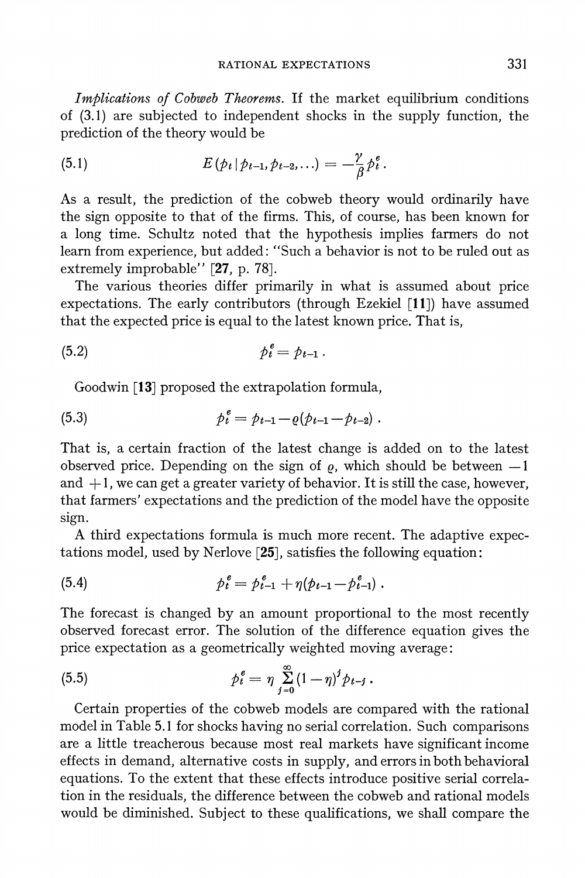**Imfplications of Cobweb Theorems. If the market equilibrium conditions of (3.1) are subjected to independent shocks in the supply function, the prediction of the theory would be** 

(5.1) 
$$
E(p_t | p_{t-1}, p_{t-2}, \ldots) = -\frac{\gamma}{\beta} p_t^e.
$$

**As a result, the prediction of the cobweb theory would ordinarily have the sign opposite to that of the firms. This, of course, has been known for a long time. Schultz noted that the hypothesis implies farmers do not learn from experience, but added: "Such a behavior is not to be ruled out as extremely improbable" [27, p. 78].** 

**The various theories differ primarily in what is assumed about price expectations. The early contributors (through Ezekiel [11]) have assumed that the expected price is equal to the latest known price. That is,** 

$$
(5.2) \qquad \qquad \mathit{p}_t^e = \mathit{p}_{t-1}
$$

**Goodwin [13] proposed the extrapolation formula,** 

(5.3) 
$$
p_t^e = p_{t-1} - \varrho (p_{t-1} - p_{t-2}).
$$

**That is, a certain fraction of the latest change is added on to the latest**  observed price. Depending on the sign of  $\rho$ , which should be between  $-1$ and  $+1$ , we can get a greater variety of behavior. It is still the case, however, **that farmers' expectations and the prediction of the model have the opposite sign.** 

**A third expectations formula is much more recent. The adaptive expectations model, used by Nerlove [25], satisfies the following equation:** 

(5.4) 
$$
p_t^e = p_{t-1}^e + \eta (p_{t-1} - p_{t-1}^e).
$$

**The forecast is changed by an amount proportional to the most recently observed forecast error. The solution of the difference equation gives the price expectation as a geometrically weighted moving average:** 

(5.5) 
$$
\qquad \qquad \rho_t^e = \eta \sum_{j=0}^{\infty} (1-\eta)^j p_{t-j} \, .
$$

**Certain properties of the cobweb models are compared with the rational model in Table 5.1 for shocks having no serial correlation. Such comparisons are a little treacherous because most real markets have significant income effects in demand, alternative costs in supply, and errors in both behavioral equations. To the extent that these effects introduce positive serial correlation in the residuals, the difference between the cobweb and rational models would be diminished. Subject to these qualifications, we shall compare the**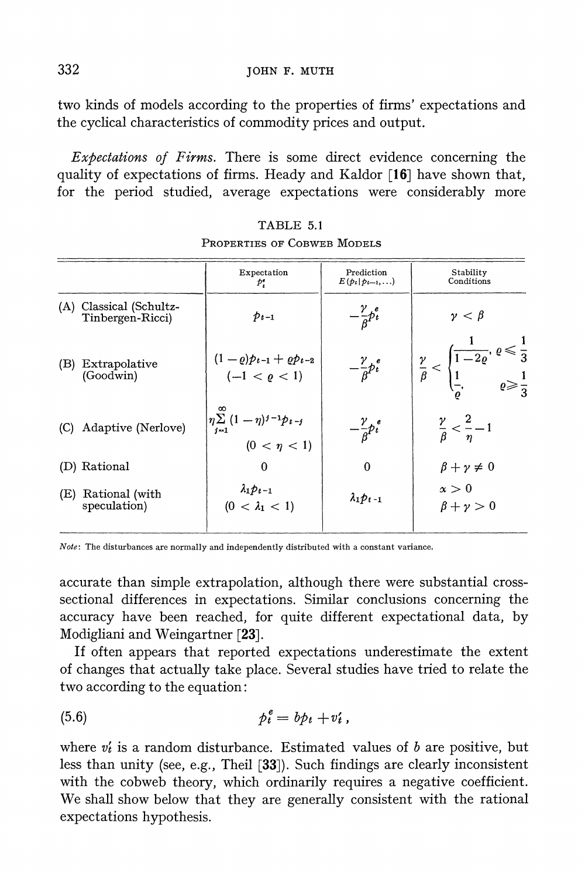**two kinds of models according to the properties of firms' expectations and the cyclical characteristics of commodity prices and output.** 

**Expectations of Firms. There is some direct evidence concerning the quality of expectations of firms. Heady and Kaldor [16] have shown that, for the period studied, average expectations were considerably more** 

|                                             | Expectation<br>$P_i^{\bullet}$                                     | Prediction<br>$E(p_t p_{t-1},)$ | Stability<br>Conditions                                                                                                                                      |
|---------------------------------------------|--------------------------------------------------------------------|---------------------------------|--------------------------------------------------------------------------------------------------------------------------------------------------------------|
| (A) Classical (Schultz-<br>Tinbergen-Ricci) | $p_{t-1}$                                                          | $-\frac{r}{\beta}p_t^e$         | $\gamma < \beta$                                                                                                                                             |
| Extrapolative<br>(B)<br>(Goodwin)           | $(1-\varrho)p_{t-1} + \varrho p_{t-2}$<br>$(-1 < \varrho < 1)$     | $-\frac{\gamma}{\beta}p_t^e$    | $\frac{\gamma}{\beta}<\begin{cases}\frac{1}{1-2\varrho},\,\varrho\leqslant\frac{1}{3}\\\frac{1}{\zeta},\qquad \qquad \varrho\geqslant\frac{1}{3}\end{cases}$ |
| (C) Adaptive (Nerlove)                      | $\eta \sum_{j=1}^{\infty} (1 - \eta)^{j-1} p_{t-j}$<br>(0 < n < 1) | $-\frac{r}{\beta}p_t^e$         | $\frac{\gamma}{\beta} < \frac{2}{\eta} - 1$                                                                                                                  |
| (D) Rational                                | 0                                                                  | $\Omega$                        | $\beta + \gamma \neq 0$                                                                                                                                      |
| Rational (with<br>(E)<br>speculation)       | $\lambda_1 p_{t-1}$<br>$(0 < \lambda_1 < 1)$                       | $\lambda_1 \rho_{t-1}$          | $\alpha > 0$<br>$\beta + \gamma > 0$                                                                                                                         |
|                                             |                                                                    |                                 |                                                                                                                                                              |

| TABLE 5.1                   |  |  |  |  |  |  |  |
|-----------------------------|--|--|--|--|--|--|--|
| Properties of Cobweb Models |  |  |  |  |  |  |  |

**Note: The disturbances are normally and independently distributed with a constant variance.** 

**accurate than simple extrapolation, although there were substantial crosssectional differences in expectations. Similar conclusions concerning the accuracy have been reached, for quite different expectational data, by Modigliani and Weingartner [23].** 

**If often appears that reported expectations underestimate the extent of changes that actually take place. Several studies have tried to relate the two according to the equation:** 

**(5.6) pt= bp t +v v** 

where  $v_t$  is a random disturbance. Estimated values of  $b$  are positive, but **less than unity (see, e.g., Theil [33]). Such findings are clearly inconsistent with the cobweb theory, which ordinarily requires a negative coefficient. We shall show below that they are generally consistent with the rational expectations hypothesis.**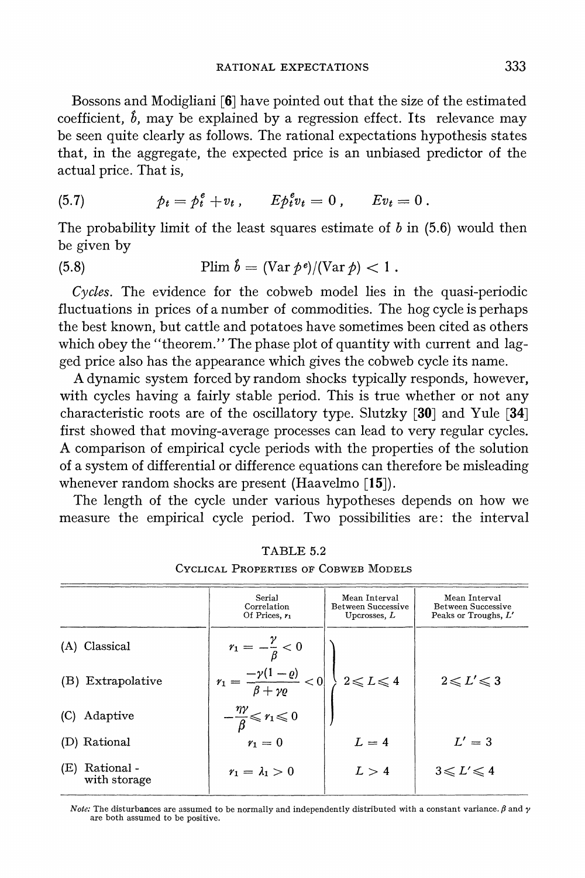**Bossons and Modigliani [6] have pointed out that the size of the estimated coefficient, &, may be explained by a regression effect. Its relevance may be seen quite clearly as follows. The rational expectations hypothesis states that, in the aggregate, the expected price is an unbiased predictor of the actual price. That is,** 

(5.7) 
$$
p_t = p_t^e + v_t, \qquad E p_t^e v_t = 0, \qquad E v_t = 0.
$$

**The probability limit of the least squares estimate of b in (5.6) would then be given by** 

(5.8) 
$$
\text{Plim } \hat{b} = (\text{Var } p^e) / (\text{Var } p) < 1
$$

**Cycles. The evidence for the cobweb model lies in the quasi-periodic fluctuations in prices of a number of commodities. The hog cycle is perhaps the best known, but cattle and potatoes have sometimes been cited as others**  which obey the "theorem." The phase plot of quantity with current and lag**ged price also has the appearance which gives the cobweb cycle its name.** 

**A dynamic system forced by random shocks typically responds, however, with cycles having a fairly stable period. This is true whether or not any characteristic roots are of the oscillatory type. Slutzky [30] and Yule [34] first showed that moving-average processes can lead to very regular cycles. A comparison of empirical cycle periods with the properties of the solution of a system of differential or difference equations can therefore be misleading whenever random shocks are present (Haavelmo [15]).** 

**The length of the cycle under various hypotheses depends on how we measure the empirical cycle period. Two possibilities are: the interval** 

| OTCLICAL I ROFERILES OF CODWED MODELS |                                                               |                                                              |                                                             |  |  |  |
|---------------------------------------|---------------------------------------------------------------|--------------------------------------------------------------|-------------------------------------------------------------|--|--|--|
|                                       | Serial<br>Correlation<br>Of Prices, $r_1$                     | Mean Interval<br><b>Between Successive</b><br>Upcrosses, $L$ | Mean Interval<br>Between Successive<br>Peaks or Troughs, L' |  |  |  |
| (A) Classical                         | $r_1=-\frac{\gamma}{\beta}<0$                                 |                                                              |                                                             |  |  |  |
| (B) Extrapolative                     | $r_1 = \frac{-\gamma(1-\varrho)}{\beta + \gamma \varrho} < 0$ | $2\!\leqslant\!L\!\leqslant4$                                | $2 \leqslant L' \leqslant 3$                                |  |  |  |
| Adaptive<br>(C)                       | $-\frac{\eta\gamma}{\beta} \leqslant r_1 \leqslant 0$         |                                                              |                                                             |  |  |  |
| (D) Rational                          | $r_1=0$                                                       | $L=4$                                                        | $L'=3$                                                      |  |  |  |
| Rational -<br>(E)<br>with storage     | $r_1 = \lambda_1 > 0$                                         | L > 4                                                        | $3 \leqslant L' \leqslant 4$                                |  |  |  |

**TABLE 5.2 CYCLICAL PROPERTIES Or COBWEB MODELS** 

*Note:* The disturbances are assumed to be normally and independently distributed with a constant variance.  $\beta$  and  $\gamma$ **are both assumed to be positive.**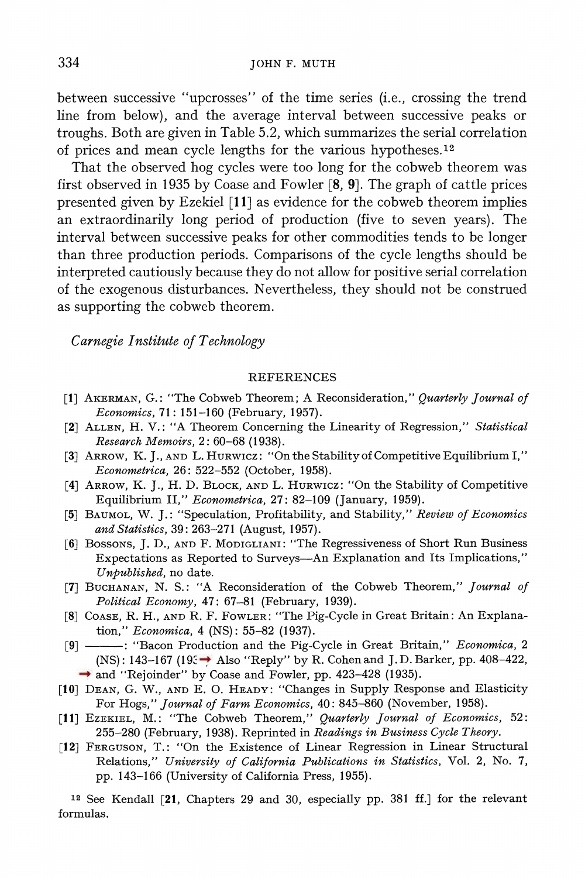**between successive "upcrosses" of the time series (i.e., crossing the trend line from below), and the average interval between successive peaks or troughs. Both are given in Table 5.2, which summarizes the serial correlation of prices and mean cycle lengths for the various hypotheses.12** 

**That the observed hog cycles were too long for the cobweb theorem was first observed in 1935 by Coase and Fowler [8, 9]. The graph of cattle prices presented given by Ezekiel [11] as evidence for the cobweb theorem implies an extraordinarily long period of production (five to seven years). The interval between successive peaks for other commodities tends to be longer than three production periods. Comparisons of the cycle lengths should be interpreted cautiously because they do not allow for positive serial correlation of the exogenous disturbances. Nevertheless, they should not be construed as supporting the cobweb theorem.** 

**Carnegie Institute of Technology** 

#### **REFERENCES**

- **[1] AKERMAN, G.: "The Cobweb Theorem; A Reconsideration," Quarterly Journal of Economics, 71: 151-160 (February, 1957).**
- **[2] ALLEN, H. V.: "A Theorem Concerning the Linearity of Regression," Statistical Research Memoirs, 2: 60-68 (1938).**
- **[3] ARROW, K. J., AND L. HURWICZ: "On the Stability of Competitive Equilibrium I," Econometrica, 26: 522-552 (October, 1958).**
- **[4] ARROW, K. J., H. D. BLOCK, AND L. HURWICZ: "On the Stability of Competitive**  Equilibrium II," *Econometrica*, 27: 82-109 (January, 1959).
- [5] BAUMOL, W. J.: "Speculation, Profitability, and Stability," Review of Economics **and Statistics, 39: 263-271 (August, 1957).**
- **[6] BossONS, J. D., AND F. MODIGLIANI: "The Regressiveness of Short Run Business Expectations as Reported to Surveys-An Explanation and Its Implications," Unpublished, no date.**
- **[7] BUCHANAN, N. S.: "A Reconsideration of the Cobweb Theorem," Journal of Political Econoomy, 47: 67-81 (February, 1939).**
- [8] COASE, R. H., AND R. F. FOWLER: "The Pig-Cycle in Great Britain: An Explanation," *Economica*, 4 (NS): 55-82 (1937).
- [9] : "Bacon Production and the Pig-Cycle in Great Britain," *Economica*, 2 **(NS): 143-167 (193→ Also "Reply" by R. Cohen and J.D. Barker, pp. 408-422, and "Rejoinder" by Coase and Fowler, pp. 423-428 (1935).**
- **[10] DEAN, G. W., AND E. 0. HEADY: "Changes in Supply Response and Elasticity**  For Hogs," Journal of Farm Economics, 40: 845-860 (November, 1958).
- [11] EZEKIEL, M.: "The Cobweb Theorem," Quarterly Journal of Economics, 52: **255-280 (February, 1938). Reprinted in Readings in Business Cycle Theory.**
- **[12] FERGUSON, T.: "On the Existence of Linear Regression in Linear Structural Relations," University of California Publications in Statistics, Vol. 2, No. 7, pp. 143-166 (University of California Press, 1955).**

**12 See Kendall [21, Chapters 29 and 30, especially pp. 381 ff.] for the relevant formulas.**